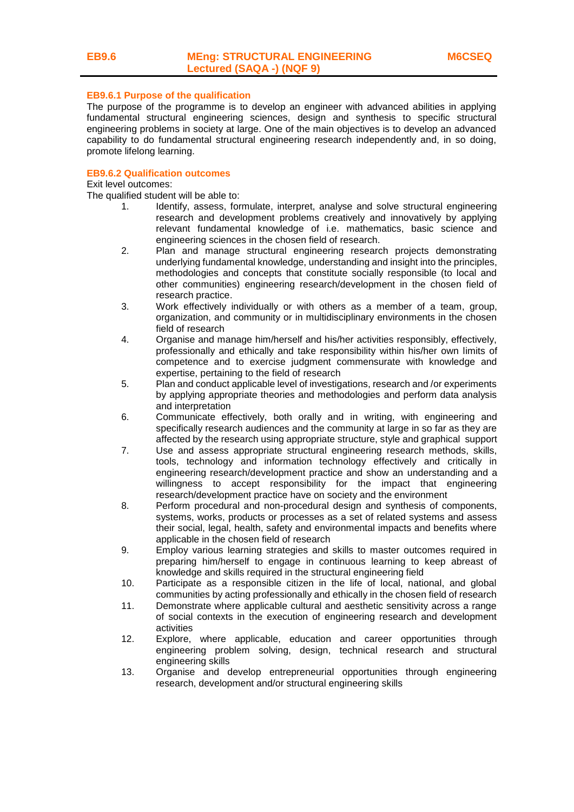#### **EB9.6.1 Purpose of the qualification**

The purpose of the programme is to develop an engineer with advanced abilities in applying fundamental structural engineering sciences, design and synthesis to specific structural engineering problems in society at large. One of the main objectives is to develop an advanced capability to do fundamental structural engineering research independently and, in so doing, promote lifelong learning.

#### **EB9.6.2 Qualification outcomes**

Exit level outcomes:

The qualified student will be able to:

- 1. Identify, assess, formulate, interpret, analyse and solve structural engineering research and development problems creatively and innovatively by applying relevant fundamental knowledge of i.e. mathematics, basic science and engineering sciences in the chosen field of research.
- 2. Plan and manage structural engineering research projects demonstrating underlying fundamental knowledge, understanding and insight into the principles, methodologies and concepts that constitute socially responsible (to local and other communities) engineering research/development in the chosen field of research practice.
- 3. Work effectively individually or with others as a member of a team, group, organization, and community or in multidisciplinary environments in the chosen field of research
- 4. Organise and manage him/herself and his/her activities responsibly, effectively, professionally and ethically and take responsibility within his/her own limits of competence and to exercise judgment commensurate with knowledge and expertise, pertaining to the field of research
- 5. Plan and conduct applicable level of investigations, research and /or experiments by applying appropriate theories and methodologies and perform data analysis and interpretation
- 6. Communicate effectively, both orally and in writing, with engineering and specifically research audiences and the community at large in so far as they are affected by the research using appropriate structure, style and graphical support
- 7. Use and assess appropriate structural engineering research methods, skills, tools, technology and information technology effectively and critically in engineering research/development practice and show an understanding and a willingness to accept responsibility for the impact that engineering research/development practice have on society and the environment
- 8. Perform procedural and non-procedural design and synthesis of components, systems, works, products or processes as a set of related systems and assess their social, legal, health, safety and environmental impacts and benefits where applicable in the chosen field of research
- 9. Employ various learning strategies and skills to master outcomes required in preparing him/herself to engage in continuous learning to keep abreast of knowledge and skills required in the structural engineering field
- 10. Participate as a responsible citizen in the life of local, national, and global communities by acting professionally and ethically in the chosen field of research
- 11. Demonstrate where applicable cultural and aesthetic sensitivity across a range of social contexts in the execution of engineering research and development activities
- 12. Explore, where applicable, education and career opportunities through engineering problem solving, design, technical research and structural engineering skills
- 13. Organise and develop entrepreneurial opportunities through engineering research, development and/or structural engineering skills